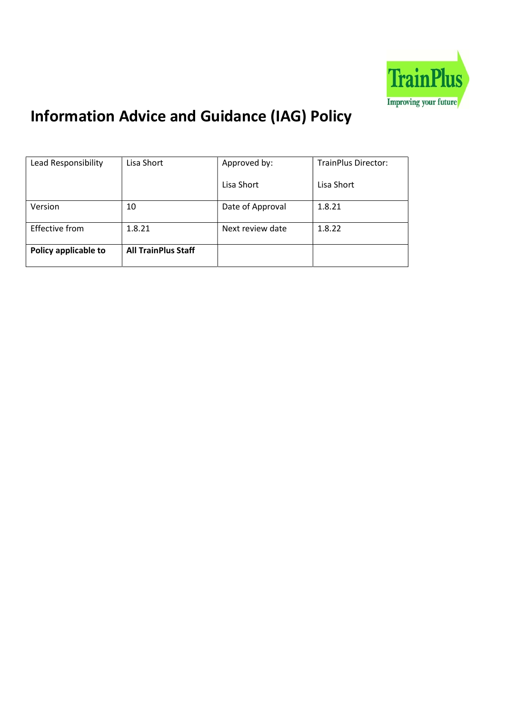

# Information Advice and Guidance (IAG) Policy

| Lead Responsibility   | Lisa Short                 | Approved by:     | <b>TrainPlus Director:</b> |
|-----------------------|----------------------------|------------------|----------------------------|
|                       |                            | Lisa Short       | Lisa Short                 |
| Version               | 10                         | Date of Approval | 1.8.21                     |
| <b>Effective from</b> | 1.8.21                     | Next review date | 1.8.22                     |
| Policy applicable to  | <b>All TrainPlus Staff</b> |                  |                            |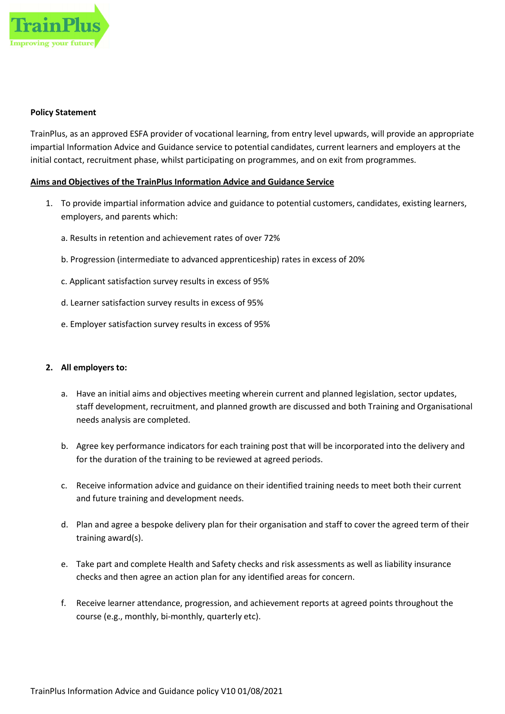

# Policy Statement

TrainPlus, as an approved ESFA provider of vocational learning, from entry level upwards, will provide an appropriate impartial Information Advice and Guidance service to potential candidates, current learners and employers at the initial contact, recruitment phase, whilst participating on programmes, and on exit from programmes.

# Aims and Objectives of the TrainPlus Information Advice and Guidance Service

- 1. To provide impartial information advice and guidance to potential customers, candidates, existing learners, employers, and parents which:
	- a. Results in retention and achievement rates of over 72%
	- b. Progression (intermediate to advanced apprenticeship) rates in excess of 20%
	- c. Applicant satisfaction survey results in excess of 95%
	- d. Learner satisfaction survey results in excess of 95%
	- e. Employer satisfaction survey results in excess of 95%

### 2. All employers to:

- a. Have an initial aims and objectives meeting wherein current and planned legislation, sector updates, staff development, recruitment, and planned growth are discussed and both Training and Organisational needs analysis are completed.
- b. Agree key performance indicators for each training post that will be incorporated into the delivery and for the duration of the training to be reviewed at agreed periods.
- c. Receive information advice and guidance on their identified training needs to meet both their current and future training and development needs.
- d. Plan and agree a bespoke delivery plan for their organisation and staff to cover the agreed term of their training award(s).
- e. Take part and complete Health and Safety checks and risk assessments as well as liability insurance checks and then agree an action plan for any identified areas for concern.
- f. Receive learner attendance, progression, and achievement reports at agreed points throughout the course (e.g., monthly, bi-monthly, quarterly etc).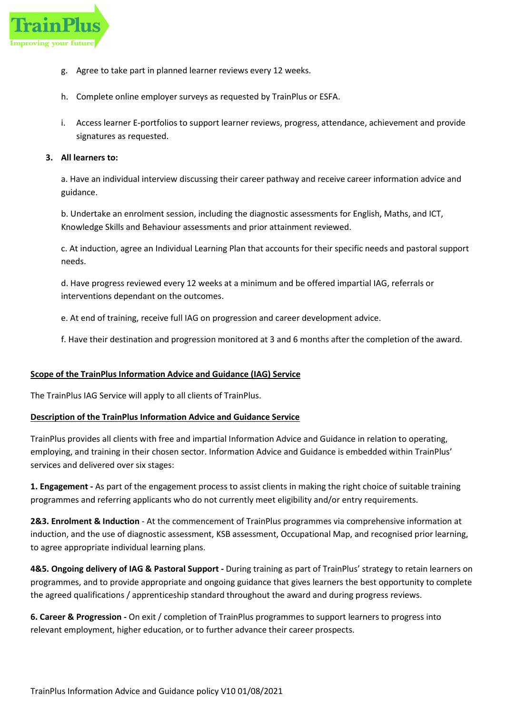

- g. Agree to take part in planned learner reviews every 12 weeks.
- h. Complete online employer surveys as requested by TrainPlus or ESFA.
- i. Access learner E-portfolios to support learner reviews, progress, attendance, achievement and provide signatures as requested.

# 3. All learners to:

a. Have an individual interview discussing their career pathway and receive career information advice and guidance.

b. Undertake an enrolment session, including the diagnostic assessments for English, Maths, and ICT, Knowledge Skills and Behaviour assessments and prior attainment reviewed.

c. At induction, agree an Individual Learning Plan that accounts for their specific needs and pastoral support needs.

d. Have progress reviewed every 12 weeks at a minimum and be offered impartial IAG, referrals or interventions dependant on the outcomes.

e. At end of training, receive full IAG on progression and career development advice.

f. Have their destination and progression monitored at 3 and 6 months after the completion of the award.

# Scope of the TrainPlus Information Advice and Guidance (IAG) Service

The TrainPlus IAG Service will apply to all clients of TrainPlus.

# Description of the TrainPlus Information Advice and Guidance Service

TrainPlus provides all clients with free and impartial Information Advice and Guidance in relation to operating, employing, and training in their chosen sector. Information Advice and Guidance is embedded within TrainPlus' services and delivered over six stages:

1. Engagement - As part of the engagement process to assist clients in making the right choice of suitable training programmes and referring applicants who do not currently meet eligibility and/or entry requirements.

2&3. Enrolment & Induction - At the commencement of TrainPlus programmes via comprehensive information at induction, and the use of diagnostic assessment, KSB assessment, Occupational Map, and recognised prior learning, to agree appropriate individual learning plans.

4&5. Ongoing delivery of IAG & Pastoral Support - During training as part of TrainPlus' strategy to retain learners on programmes, and to provide appropriate and ongoing guidance that gives learners the best opportunity to complete the agreed qualifications / apprenticeship standard throughout the award and during progress reviews.

6. Career & Progression - On exit / completion of TrainPlus programmes to support learners to progress into relevant employment, higher education, or to further advance their career prospects.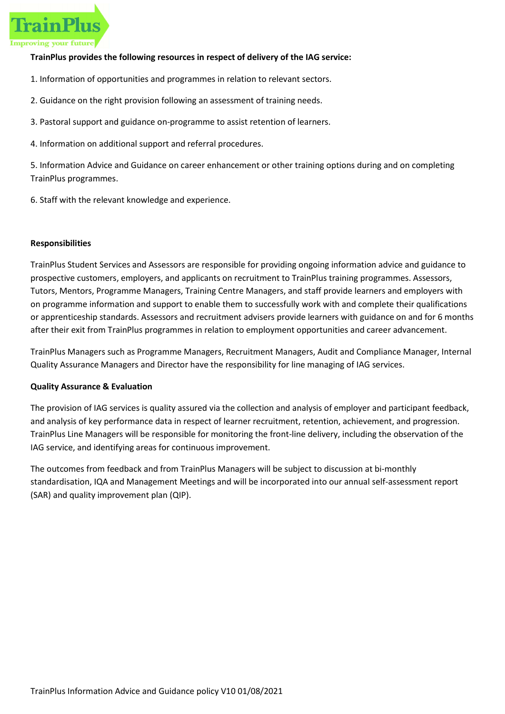

# TrainPlus provides the following resources in respect of delivery of the IAG service:

- 1. Information of opportunities and programmes in relation to relevant sectors.
- 2. Guidance on the right provision following an assessment of training needs.
- 3. Pastoral support and guidance on-programme to assist retention of learners.
- 4. Information on additional support and referral procedures.

5. Information Advice and Guidance on career enhancement or other training options during and on completing TrainPlus programmes.

6. Staff with the relevant knowledge and experience.

### Responsibilities

TrainPlus Student Services and Assessors are responsible for providing ongoing information advice and guidance to prospective customers, employers, and applicants on recruitment to TrainPlus training programmes. Assessors, Tutors, Mentors, Programme Managers, Training Centre Managers, and staff provide learners and employers with on programme information and support to enable them to successfully work with and complete their qualifications or apprenticeship standards. Assessors and recruitment advisers provide learners with guidance on and for 6 months after their exit from TrainPlus programmes in relation to employment opportunities and career advancement.

TrainPlus Managers such as Programme Managers, Recruitment Managers, Audit and Compliance Manager, Internal Quality Assurance Managers and Director have the responsibility for line managing of IAG services.

# Quality Assurance & Evaluation

The provision of IAG services is quality assured via the collection and analysis of employer and participant feedback, and analysis of key performance data in respect of learner recruitment, retention, achievement, and progression. TrainPlus Line Managers will be responsible for monitoring the front-line delivery, including the observation of the IAG service, and identifying areas for continuous improvement.

The outcomes from feedback and from TrainPlus Managers will be subject to discussion at bi-monthly standardisation, IQA and Management Meetings and will be incorporated into our annual self-assessment report (SAR) and quality improvement plan (QIP).